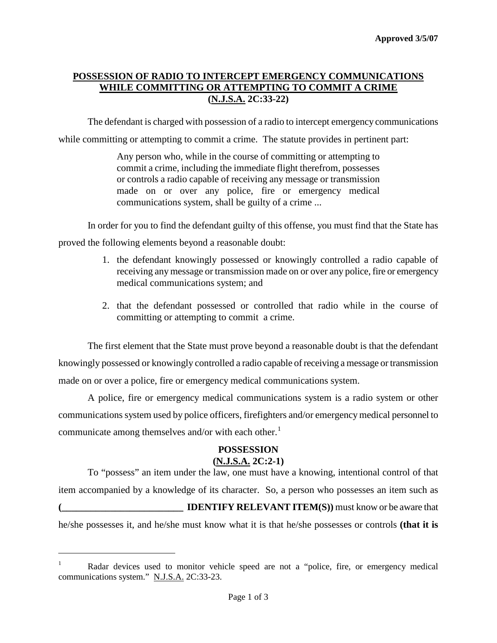# **POSSESSION OF RADIO TO INTERCEPT EMERGENCY COMMUNICATIONS WHILE COMMITTING OR ATTEMPTING TO COMMIT A CRIME (N.J.S.A. 2C:33-22)**

The defendant is charged with possession of a radio to intercept emergency communications

while committing or attempting to commit a crime. The statute provides in pertinent part:

Any person who, while in the course of committing or attempting to commit a crime, including the immediate flight therefrom, possesses or controls a radio capable of receiving any message or transmission made on or over any police, fire or emergency medical communications system, shall be guilty of a crime ...

In order for you to find the defendant guilty of this offense, you must find that the State has proved the following elements beyond a reasonable doubt:

- 1. the defendant knowingly possessed or knowingly controlled a radio capable of receiving any message or transmission made on or over any police, fire or emergency medical communications system; and
- 2. that the defendant possessed or controlled that radio while in the course of committing or attempting to commit a crime.

The first element that the State must prove beyond a reasonable doubt is that the defendant knowingly possessed or knowingly controlled a radio capable of receiving a message or transmission made on or over a police, fire or emergency medical communications system.

A police, fire or emergency medical communications system is a radio system or other communications system used by police officers, firefighters and/or emergency medical personnel to communicate among themselves and/or with each other.<sup>[1](#page-2-0)</sup>

## **POSSESSION**

## **(N.J.S.A. 2C:2-1)**

To "possess" an item under the law, one must have a knowing, intentional control of that item accompanied by a knowledge of its character. So, a person who possesses an item such as **(\_\_\_\_\_\_\_\_\_\_\_\_\_\_\_\_\_\_\_\_\_\_\_\_\_ IDENTIFY RELEVANT ITEM(S))** must know or be aware that he/she possesses it, and he/she must know what it is that he/she possesses or controls **(that it is** 

<span id="page-0-0"></span>i

<sup>&</sup>lt;sup>1</sup> Radar devices used to monitor vehicle speed are not a "police, fire, or emergency medical communications system." N.J.S.A. 2C:33-23.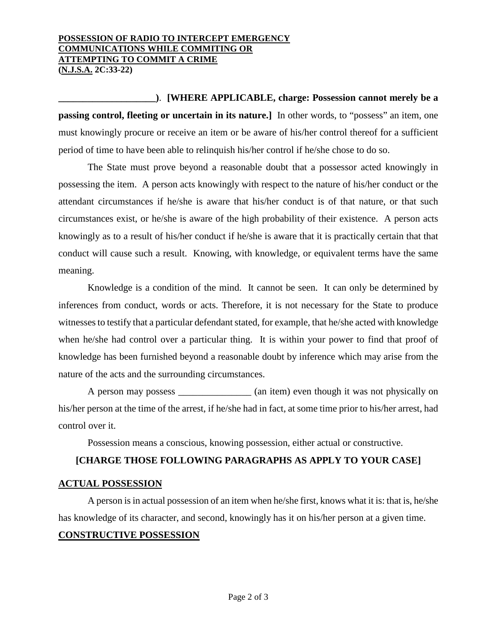#### **POSSESSION OF RADIO TO INTERCEPT EMERGENCY COMMUNICATIONS WHILE COMMITING OR ATTEMPTING TO COMMIT A CRIME (N.J.S.A. 2C:33-22)**

**\_\_\_\_\_\_\_\_\_\_\_\_\_\_\_\_\_\_\_\_)**. **[WHERE APPLICABLE, charge: Possession cannot merely be a passing control, fleeting or uncertain in its nature.]** In other words, to "possess" an item, one must knowingly procure or receive an item or be aware of his/her control thereof for a sufficient period of time to have been able to relinquish his/her control if he/she chose to do so.

The State must prove beyond a reasonable doubt that a possessor acted knowingly in possessing the item. A person acts knowingly with respect to the nature of his/her conduct or the attendant circumstances if he/she is aware that his/her conduct is of that nature, or that such circumstances exist, or he/she is aware of the high probability of their existence. A person acts knowingly as to a result of his/her conduct if he/she is aware that it is practically certain that that conduct will cause such a result. Knowing, with knowledge, or equivalent terms have the same meaning.

Knowledge is a condition of the mind. It cannot be seen. It can only be determined by inferences from conduct, words or acts. Therefore, it is not necessary for the State to produce witnesses to testify that a particular defendant stated, for example, that he/she acted with knowledge when he/she had control over a particular thing. It is within your power to find that proof of knowledge has been furnished beyond a reasonable doubt by inference which may arise from the nature of the acts and the surrounding circumstances.

A person may possess (an item) even though it was not physically on his/her person at the time of the arrest, if he/she had in fact, at some time prior to his/her arrest, had control over it.

Possession means a conscious, knowing possession, either actual or constructive.

## **[CHARGE THOSE FOLLOWING PARAGRAPHS AS APPLY TO YOUR CASE]**

#### **ACTUAL POSSESSION**

A person is in actual possession of an item when he/she first, knows what it is: that is, he/she has knowledge of its character, and second, knowingly has it on his/her person at a given time. **CONSTRUCTIVE POSSESSION**